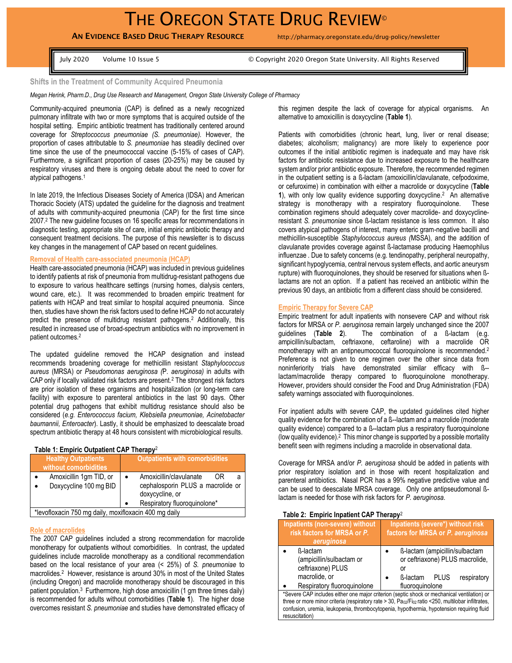# THE OREGON STATE DRUG REVIEW®

# AN EVIDENCE BASED DRUG THERAPY RESOURCE http://pharmacy.oregonstate.edu/drug-policy/newsletter

July 2020 Volume 10 Issue 5 © Copyright 2020 Oregon State University. All Rights Reserved

#### **Shifts in the Treatment of Community Acquired Pneumonia**

*Megan Herink, Pharm.D., Drug Use Research and Management, Oregon State University College of Pharmacy*

Community-acquired pneumonia (CAP) is defined as a newly recognized pulmonary infiltrate with two or more symptoms that is acquired outside of the hospital setting. Empiric antibiotic treatment has traditionally centered around coverage for *Streptococcus pneumoniae (S. pneumoniae).* However, the proportion of cases attributable to *S. pneumoniae* has steadily declined over time since the use of the pneumococcal vaccine (5-15% of cases of CAP). Furthermore, a significant proportion of cases (20-25%) may be caused by respiratory viruses and there is ongoing debate about the need to cover for atypical pathogens.<sup>1</sup>

In late 2019, the Infectious Diseases Society of America (IDSA) and American Thoracic Society (ATS) updated the guideline for the diagnosis and treatment of adults with community-acquired pneumonia (CAP) for the first time since 2007.<sup>2</sup> The new guideline focuses on 16 specific areas for recommendations in diagnostic testing, appropriate site of care, initial empiric antibiotic therapy and consequent treatment decisions. The purpose of this newsletter is to discuss key changes in the management of CAP based on recent guidelines.

# **Removal of Health care-associated pneumonia (HCAP)**

Health care-associated pneumonia (HCAP) was included in previous guidelines to identify patients at risk of pneumonia from multidrug-resistant pathogens due to exposure to various healthcare settings (nursing homes, dialysis centers, wound care, etc.). It was recommended to broaden empiric treatment for patients with HCAP and treat similar to hospital acquired pneumonia. Since then, studies have shown the risk factors used to define HCAP do not accurately predict the presence of multidrug resistant pathogens.<sup>2</sup> Additionally, this resulted in increased use of broad-spectrum antibiotics with no improvement in patient outcomes.<sup>2</sup>

The updated guideline removed the HCAP designation and instead recommends broadening coverage for methicillin resistant *Staphylococcus aureus* (MRSA) or *Pseudomonas aeruginosa (*P*. aeruginosa)* in adults with CAP only if locally validated risk factors are present.<sup>2</sup> The strongest risk factors are prior isolation of these organisms and hospitalization (or long-term care facility) with exposure to parenteral antibiotics in the last 90 days. Other potential drug pathogens that exhibit multidrug resistance should also be considered (*e.g. Enterococcus facium, Klebsiella pneumoniae, Acinetobacter baumannii, Enteroacter*). Lastly, it should be emphasized to deescalate broad spectrum antibiotic therapy at 48 hours consistent with microbiological results.

#### **Table 1: Empiric Outpatient CAP Therapy**<sup>2</sup>

| <b>Healthy Outpatients</b><br>without comorbidities   |  | <b>Outpatients with comorbidities</b>                                                                                  |  |  |
|-------------------------------------------------------|--|------------------------------------------------------------------------------------------------------------------------|--|--|
| Amoxicillin 1gm TID, or<br>Doxycycline 100 mg BID     |  | Amoxicillin/clavulanate<br>0R.<br>cephalosporin PLUS a macrolide or<br>doxycycline, or<br>Respiratory fluoroquinolone* |  |  |
| *levofloxacin 750 mg daily, moxifloxacin 400 mg daily |  |                                                                                                                        |  |  |

#### **Role of macrolides**

The 2007 CAP guidelines included a strong recommendation for macrolide monotherapy for outpatients without comorbidities. In contrast, the updated guidelines include macrolide monotherapy as a conditional recommendation based on the local resistance of your area (< 25%) of *S. pneumoniae* to macrolides. 2 However, resistance is around 30% in most of the United States (including Oregon) and macrolide monotherapy should be discouraged in this patient population.<sup>3</sup> Furthermore, high dose amoxicillin (1 gm three times daily) is recommended for adults without comorbidities (**Table 1**). The higher dose overcomes resistant *S. pneumoniae* and studies have demonstrated efficacy of this regimen despite the lack of coverage for atypical organisms. An alternative to amoxicillin is doxycycline (**Table 1**).

Patients with comorbidities (chronic heart, lung, liver or renal disease; diabetes; alcoholism; malignancy) are more likely to experience poor outcomes if the initial antibiotic regimen is inadequate and may have risk factors for antibiotic resistance due to increased exposure to the healthcare system and/or prior antibiotic exposure. Therefore, the recommended regimen in the outpatient setting is a ß-lactam (amoxicillin/clavulanate, cefpodoxime, or cefuroxime) in combination with either a macrolide or doxycycline (**Table 1**), with only low quality evidence supporting doxycycline. 2 An alternative strategy is monotherapy with a respiratory fluoroquinolone. These combination regimens should adequately cover macrolide- and doxycyclineresistant *S. pneumoniae* since ß-lactam resistance is less common. It also covers atypical pathogens of interest, many enteric gram-negative bacilli and methicillin-susceptible *Staphylococcus aureus (*MSSA), and the addition of clavulanate provides coverage against ß-lactamase producing Haemophilus influenzae *.* Due to safety concerns (e.g. tendinopathy, peripheral neuropathy, significant hypoglycemia, central nervous system effects, and aortic aneurysm rupture) with fluoroquinolones, they should be reserved for situations when ßlactams are not an option. If a patient has received an antibiotic within the previous 90 days, an antibiotic from a different class should be considered.

#### **Empiric Therapy for Severe CAP**

Empiric treatment for adult inpatients with nonsevere CAP and without risk factors for MRSA or *P. aeruginosa* remain largely unchanged since the 2007 guidelines (**Table 2**). The combination of a ß-lactam (e.g. ampicillin/sulbactam, ceftriaxone, ceftaroline) with a macrolide OR monotherapy with an antipneumococcal fluoroquinolone is recommended.<sup>2</sup> Preference is not given to one regimen over the other since data from noninferiority trials have demonstrated similar efficacy with ß- lactam/macrolide therapy compared to fluoroquinolone monotherapy. However, providers should consider the Food and Drug Administration (FDA) safety warnings associated with fluoroquinolones.

For inpatient adults with severe CAP, the updated guidelines cited higher quality evidence for the combination of a ß--lactam and a macrolide (moderate quality evidence) compared to a ß--lactam plus a respiratory fluoroquinolone (low quality evidence). $2$  This minor change is supported by a possible mortality benefit seen with regimens including a macrolide in observational data.

Coverage for MRSA and/or *P. aeruginosa* should be added in patients with prior respiratory isolation and in those with recent hospitalization and parenteral antibiotics. Nasal PCR has a 99% negative predictive value and can be used to deescalate MRSA coverage. Only one antipseudomonal ßlactam is needed for those with risk factors for *P. aeruginosa*.

#### **Table 2: Empiric Inpatient CAP Therapy**<sup>2</sup>

resuscitation)

| Inpatients (non-severe) without<br>risk factors for MRSA or P.<br>aeruginosa                                                                                                                                                                                                                   | Inpatients (severe*) without risk<br>factors for MRSA or P. aeruginosa                                                                    |  |  |
|------------------------------------------------------------------------------------------------------------------------------------------------------------------------------------------------------------------------------------------------------------------------------------------------|-------------------------------------------------------------------------------------------------------------------------------------------|--|--|
| ß-lactam<br>(ampicillin/sulbactam or<br>ceftriaxone) PLUS<br>macrolide, or<br>Respiratory fluoroguinolone                                                                                                                                                                                      | ß-lactam (ampicillin/sulbactam<br>or ceftriaxone) PLUS macrolide,<br>or<br>respiratory<br>ß-lactam<br><b>PLUS</b><br>٠<br>fluoroquinolone |  |  |
| *Severe CAP includes either one major criterion (septic shock or mechanical ventilation) or<br>three or more minor criteria (respiratory rate > 30, Pao2/Fio2 ratio <250, multilobar infiltrates,<br>confusion, uremia, leukopenia, thrombocytopenia, hypothermia, hypotension requiring fluid |                                                                                                                                           |  |  |